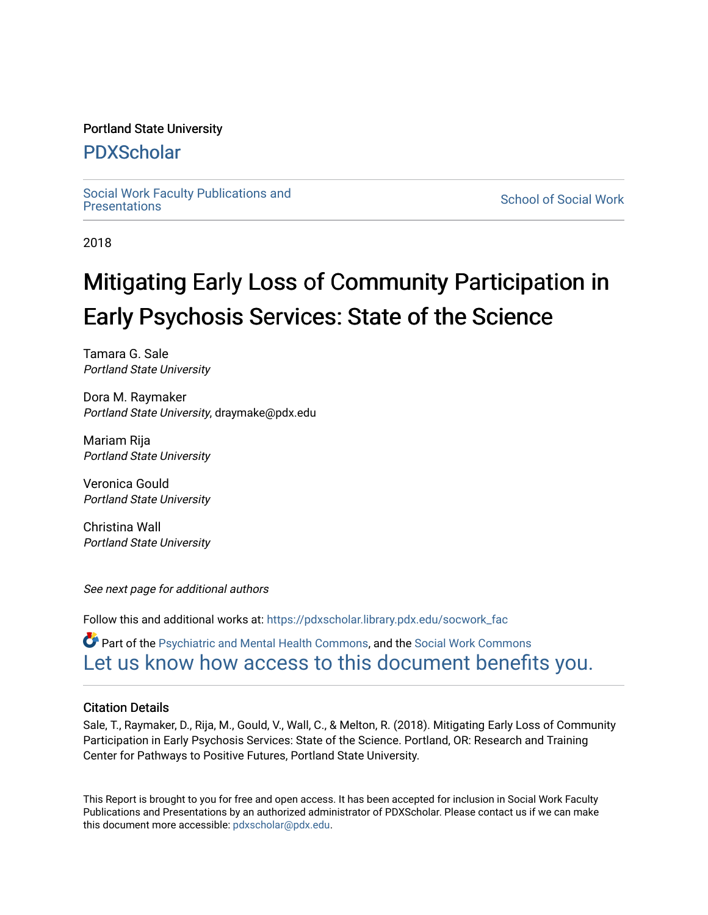#### Portland State University

### [PDXScholar](https://pdxscholar.library.pdx.edu/)

Social Work Faculty Publications and<br>Presentations

**School of Social Work** 

2018

# Mitigating Early Loss of Community Participation in Early Psychosis Services: State of the Science

Tamara G. Sale Portland State University

Dora M. Raymaker Portland State University, draymake@pdx.edu

Mariam Rija Portland State University

Veronica Gould Portland State University

Christina Wall Portland State University

See next page for additional authors

Follow this and additional works at: [https://pdxscholar.library.pdx.edu/socwork\\_fac](https://pdxscholar.library.pdx.edu/socwork_fac?utm_source=pdxscholar.library.pdx.edu%2Fsocwork_fac%2F231&utm_medium=PDF&utm_campaign=PDFCoverPages) 

Part of the [Psychiatric and Mental Health Commons,](http://network.bepress.com/hgg/discipline/711?utm_source=pdxscholar.library.pdx.edu%2Fsocwork_fac%2F231&utm_medium=PDF&utm_campaign=PDFCoverPages) and the [Social Work Commons](http://network.bepress.com/hgg/discipline/713?utm_source=pdxscholar.library.pdx.edu%2Fsocwork_fac%2F231&utm_medium=PDF&utm_campaign=PDFCoverPages)  [Let us know how access to this document benefits you.](http://library.pdx.edu/services/pdxscholar-services/pdxscholar-feedback/?ref=https://pdxscholar.library.pdx.edu/socwork_fac/231) 

#### Citation Details

Sale, T., Raymaker, D., Rija, M., Gould, V., Wall, C., & Melton, R. (2018). Mitigating Early Loss of Community Participation in Early Psychosis Services: State of the Science. Portland, OR: Research and Training Center for Pathways to Positive Futures, Portland State University.

This Report is brought to you for free and open access. It has been accepted for inclusion in Social Work Faculty Publications and Presentations by an authorized administrator of PDXScholar. Please contact us if we can make this document more accessible: [pdxscholar@pdx.edu.](mailto:pdxscholar@pdx.edu)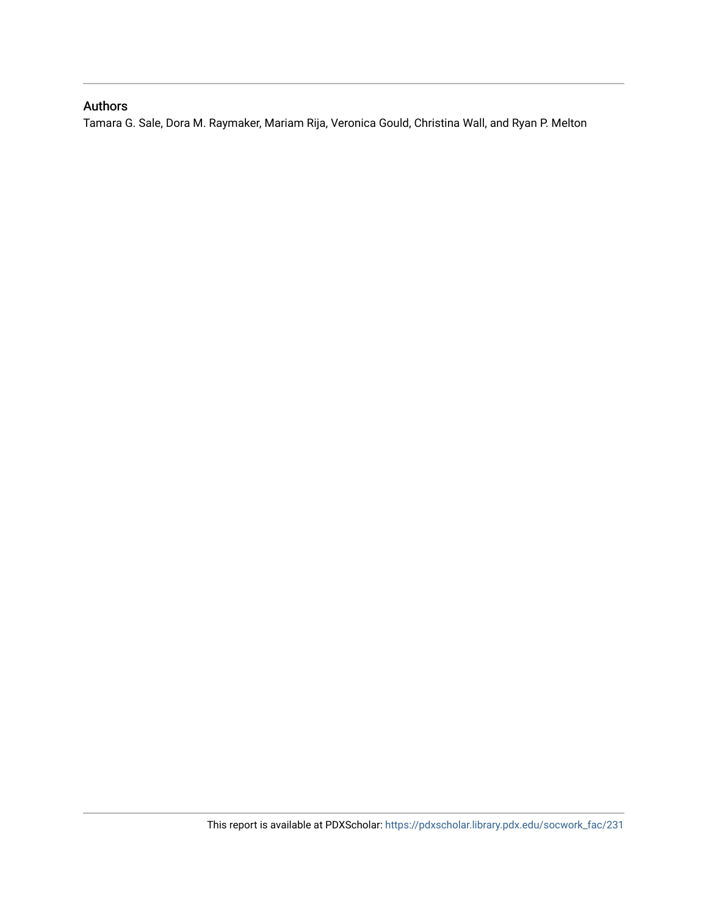### Authors

Tamara G. Sale, Dora M. Raymaker, Mariam Rija, Veronica Gould, Christina Wall, and Ryan P. Melton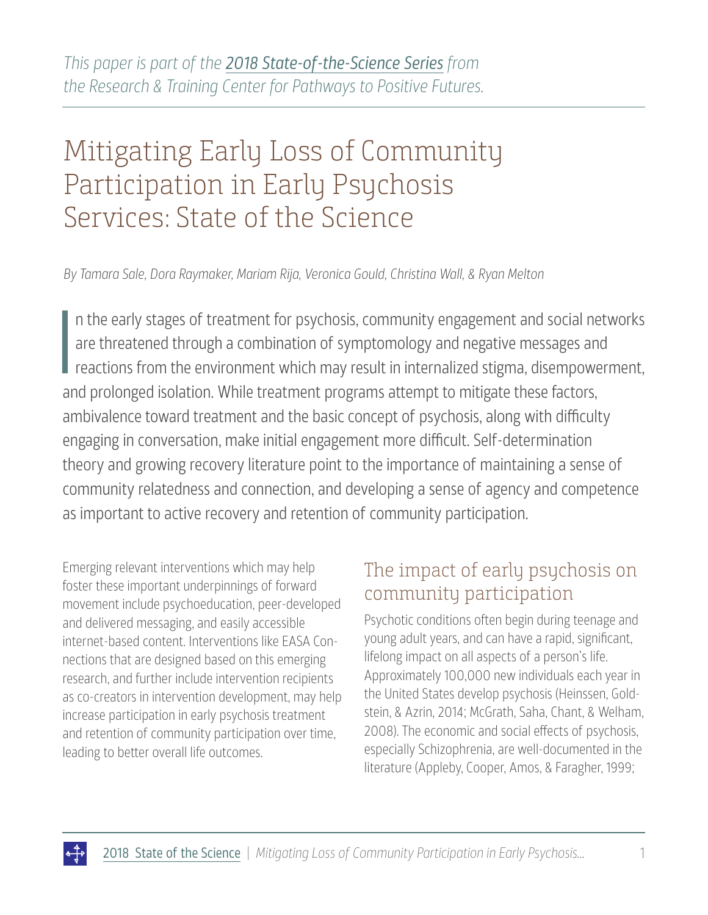# Mitigating Early Loss of Community Participation in Early Psychosis Services: State of the Science

*By Tamara Sale, Dora Raymaker, Mariam Rija, Veronica Gould, Christina Wall, & Ryan Melton*

I n the early stages of treatment for psychosis, community engagement and social networks are threatened through a combination of symptomology and negative messages and reactions from the environment which may result in internalized stigma, disempowerment, and prolonged isolation. While treatment programs attempt to mitigate these factors, ambivalence toward treatment and the basic concept of psychosis, along with difficulty engaging in conversation, make initial engagement more difficult. Self-determination theory and growing recovery literature point to the importance of maintaining a sense of community relatedness and connection, and developing a sense of agency and competence as important to active recovery and retention of community participation.

Emerging relevant interventions which may help foster these important underpinnings of forward movement include psychoeducation, peer-developed and delivered messaging, and easily accessible internet-based content. Interventions like EASA Connections that are designed based on this emerging research, and further include intervention recipients as co-creators in intervention development, may help increase participation in early psychosis treatment and retention of community participation over time, leading to better overall life outcomes.

# The impact of early psychosis on community participation

Psychotic conditions often begin during teenage and young adult years, and can have a rapid, significant, lifelong impact on all aspects of a person's life. Approximately 100,000 new individuals each year in the United States develop psychosis (Heinssen, Goldstein, & Azrin, 2014; McGrath, Saha, Chant, & Welham, 2008). The economic and social effects of psychosis, especially Schizophrenia, are well-documented in the literature (Appleby, Cooper, Amos, & Faragher, 1999;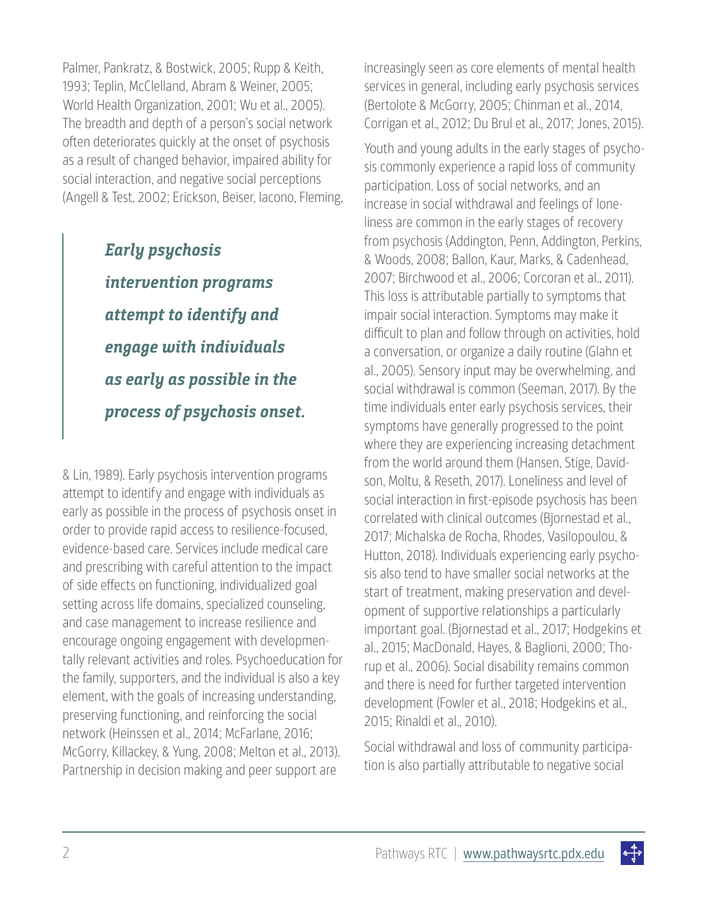Palmer, Pankratz, & Bostwick, 2005; Rupp & Keith, 1993; Teplin, McClelland, Abram & Weiner, 2005; World Health Organization, 2001; Wu et al., 2005). The breadth and depth of a person's social network often deteriorates quickly at the onset of psychosis as a result of changed behavior, impaired ability for social interaction, and negative social perceptions (Angell & Test, 2002; Erickson, Beiser, Iacono, Fleming,

> **Early psychosis intervention programs attempt to identify and engage with individuals as early as possible in the process of psychosis onset.**

& Lin, 1989). Early psychosis intervention programs attempt to identify and engage with individuals as early as possible in the process of psychosis onset in order to provide rapid access to resilience-focused, evidence-based care. Services include medical care and prescribing with careful attention to the impact of side effects on functioning, individualized goal setting across life domains, specialized counseling, and case management to increase resilience and encourage ongoing engagement with developmentally relevant activities and roles. Psychoeducation for the family, supporters, and the individual is also a key element, with the goals of increasing understanding, preserving functioning, and reinforcing the social network (Heinssen et al., 2014; McFarlane, 2016; McGorry, Killackey, & Yung, 2008; Melton et al., 2013). Partnership in decision making and peer support are

increasingly seen as core elements of mental health services in general, including early psychosis services (Bertolote & McGorry, 2005; Chinman et al., 2014, Corrigan et al., 2012; Du Brul et al., 2017; Jones, 2015).

Youth and young adults in the early stages of psychosis commonly experience a rapid loss of community participation. Loss of social networks, and an increase in social withdrawal and feelings of loneliness are common in the early stages of recovery from psychosis (Addington, Penn, Addington, Perkins, & Woods, 2008; Ballon, Kaur, Marks, & Cadenhead, 2007; Birchwood et al., 2006; Corcoran et al., 2011). This loss is attributable partially to symptoms that impair social interaction. Symptoms may make it difficult to plan and follow through on activities, hold a conversation, or organize a daily routine (Glahn et al., 2005). Sensory input may be overwhelming, and social withdrawal is common (Seeman, 2017). By the time individuals enter early psychosis services, their symptoms have generally progressed to the point where they are experiencing increasing detachment from the world around them (Hansen, Stige, Davidson, Moltu, & Reseth, 2017). Loneliness and level of social interaction in first-episode psychosis has been correlated with clinical outcomes (Bjornestad et al., 2017; Michalska de Rocha, Rhodes, Vasilopoulou, & Hutton, 2018). Individuals experiencing early psychosis also tend to have smaller social networks at the start of treatment, making preservation and development of supportive relationships a particularly important goal. (Bjornestad et al., 2017; Hodgekins et al., 2015; MacDonald, Hayes, & Baglioni, 2000; Thorup et al., 2006). Social disability remains common and there is need for further targeted intervention development (Fowler et al., 2018; Hodgekins et al., 2015; Rinaldi et al., 2010).

Social withdrawal and loss of community participation is also partially attributable to negative social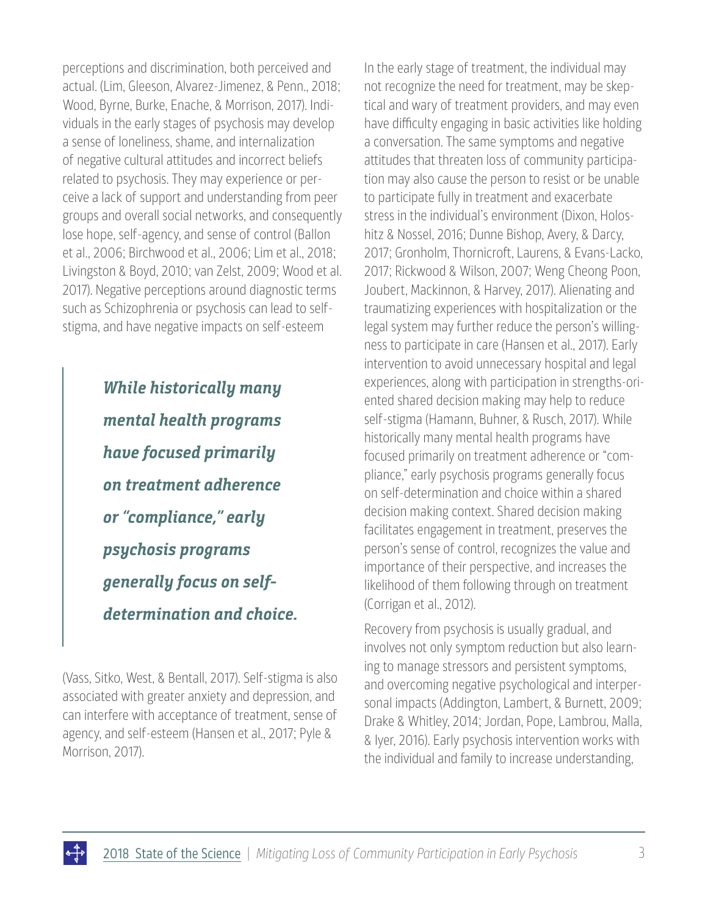perceptions and discrimination, both perceived and actual. (Lim, Gleeson, Alvarez-Jimenez, & Penn., 2018; Wood, Byrne, Burke, Enache, & Morrison, 2017). Individuals in the early stages of psychosis may develop a sense of loneliness, shame, and internalization of negative cultural attitudes and incorrect beliefs related to psychosis. They may experience or perceive a lack of support and understanding from peer groups and overall social networks, and consequently lose hope, self-agency, and sense of control (Ballon et al., 2006; Birchwood et al., 2006; Lim et al., 2018; Livingston & Boyd, 2010; van Zelst, 2009; Wood et al. 2017). Negative perceptions around diagnostic terms such as Schizophrenia or psychosis can lead to selfstigma, and have negative impacts on self-esteem

> **While historically many mental health programs have focused primarily on treatment adherence or "compliance," early psychosis programs generally focus on selfdetermination and choice.**

(Vass, Sitko, West, & Bentall, 2017). Self-stigma is also associated with greater anxiety and depression, and can interfere with acceptance of treatment, sense of agency, and self-esteem (Hansen et al., 2017; Pyle & Morrison, 2017).

In the early stage of treatment, the individual may not recognize the need for treatment, may be skeptical and wary of treatment providers, and may even have difficulty engaging in basic activities like holding a conversation. The same symptoms and negative attitudes that threaten loss of community participation may also cause the person to resist or be unable to participate fully in treatment and exacerbate stress in the individual's environment (Dixon, Holoshitz & Nossel, 2016; Dunne Bishop, Avery, & Darcy, 2017; Gronholm, Thornicroft, Laurens, & Evans-Lacko, 2017; Rickwood & Wilson, 2007; Weng Cheong Poon, Joubert, Mackinnon, & Harvey, 2017). Alienating and traumatizing experiences with hospitalization or the legal system may further reduce the person's willingness to participate in care (Hansen et al., 2017). Early intervention to avoid unnecessary hospital and legal experiences, along with participation in strengths-oriented shared decision making may help to reduce self-stigma (Hamann, Buhner, & Rusch, 2017). While historically many mental health programs have focused primarily on treatment adherence or "compliance," early psychosis programs generally focus on self-determination and choice within a shared decision making context. Shared decision making facilitates engagement in treatment, preserves the person's sense of control, recognizes the value and importance of their perspective, and increases the likelihood of them following through on treatment (Corrigan et al., 2012).

Recovery from psychosis is usually gradual, and involves not only symptom reduction but also learning to manage stressors and persistent symptoms, and overcoming negative psychological and interpersonal impacts (Addington, Lambert, & Burnett, 2009; Drake & Whitley, 2014; Jordan, Pope, Lambrou, Malla, & Iyer, 2016). Early psychosis intervention works with the individual and family to increase understanding,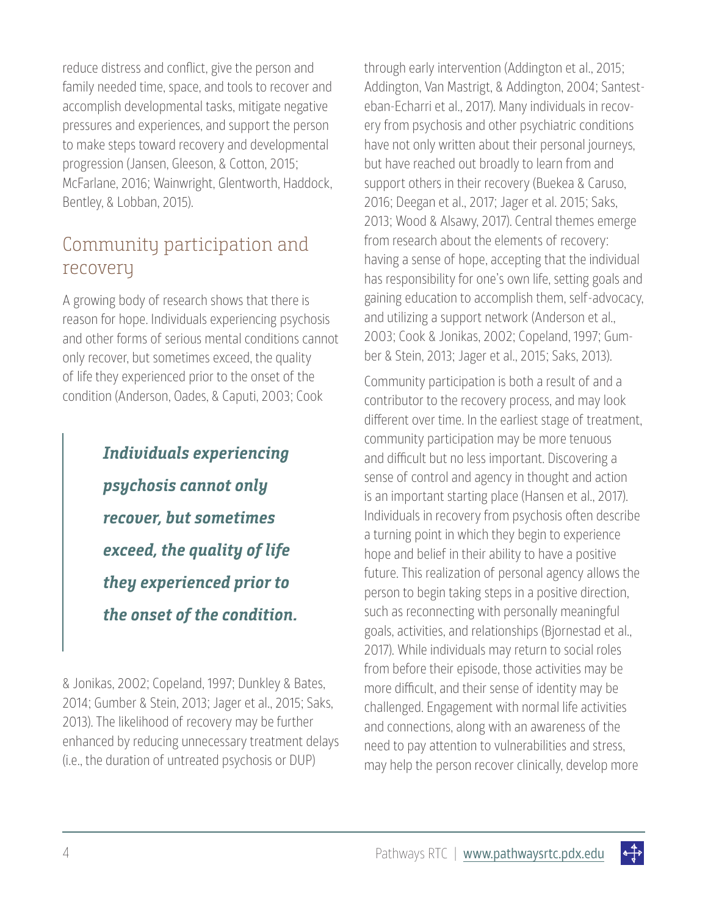reduce distress and conflict, give the person and family needed time, space, and tools to recover and accomplish developmental tasks, mitigate negative pressures and experiences, and support the person to make steps toward recovery and developmental progression (Jansen, Gleeson, & Cotton, 2015; McFarlane, 2016; Wainwright, Glentworth, Haddock, Bentley, & Lobban, 2015).

### Community participation and recovery

A growing body of research shows that there is reason for hope. Individuals experiencing psychosis and other forms of serious mental conditions cannot only recover, but sometimes exceed, the quality of life they experienced prior to the onset of the condition (Anderson, Oades, & Caputi, 2003; Cook

> **Individuals experiencing psychosis cannot only recover, but sometimes exceed, the quality of life they experienced prior to the onset of the condition.**

& Jonikas, 2002; Copeland, 1997; Dunkley & Bates, 2014; Gumber & Stein, 2013; Jager et al., 2015; Saks, 2013). The likelihood of recovery may be further enhanced by reducing unnecessary treatment delays (i.e., the duration of untreated psychosis or DUP)

through early intervention (Addington et al., 2015; Addington, Van Mastrigt, & Addington, 2004; Santesteban-Echarri et al., 2017). Many individuals in recovery from psychosis and other psychiatric conditions have not only written about their personal journeys, but have reached out broadly to learn from and support others in their recovery (Buekea & Caruso, 2016; Deegan et al., 2017; Jager et al. 2015; Saks, 2013; Wood & Alsawy, 2017). Central themes emerge from research about the elements of recovery: having a sense of hope, accepting that the individual has responsibility for one's own life, setting goals and gaining education to accomplish them, self-advocacy, and utilizing a support network (Anderson et al., 2003; Cook & Jonikas, 2002; Copeland, 1997; Gumber & Stein, 2013; Jager et al., 2015; Saks, 2013).

Community participation is both a result of and a contributor to the recovery process, and may look different over time. In the earliest stage of treatment, community participation may be more tenuous and difficult but no less important. Discovering a sense of control and agency in thought and action is an important starting place (Hansen et al., 2017). Individuals in recovery from psychosis often describe a turning point in which they begin to experience hope and belief in their ability to have a positive future. This realization of personal agency allows the person to begin taking steps in a positive direction, such as reconnecting with personally meaningful goals, activities, and relationships (Bjornestad et al., 2017). While individuals may return to social roles from before their episode, those activities may be more difficult, and their sense of identity may be challenged. Engagement with normal life activities and connections, along with an awareness of the need to pay attention to vulnerabilities and stress, may help the person recover clinically, develop more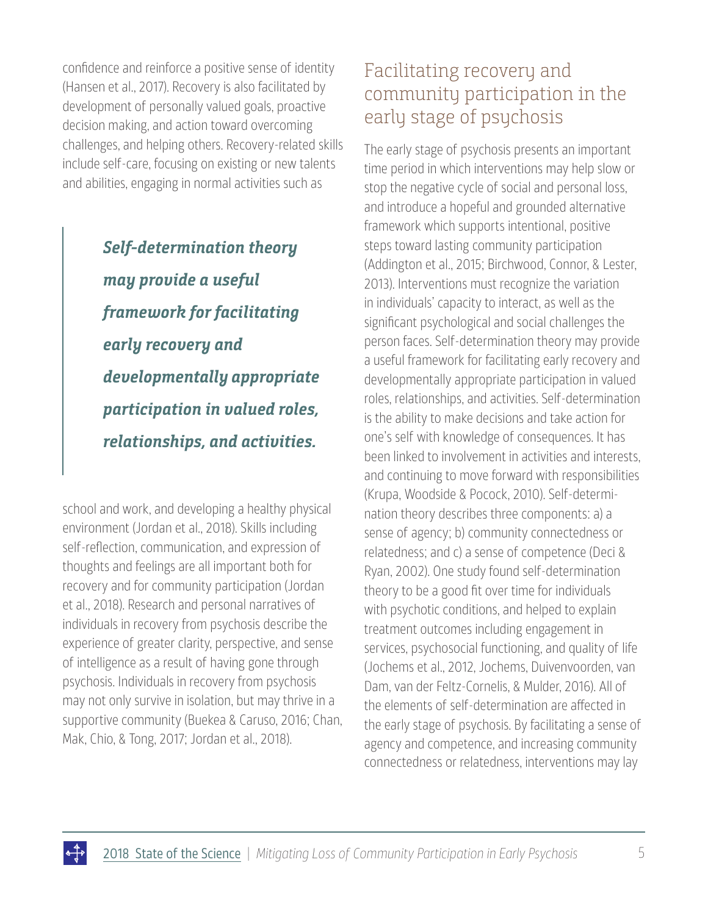confidence and reinforce a positive sense of identity (Hansen et al., 2017). Recovery is also facilitated by development of personally valued goals, proactive decision making, and action toward overcoming challenges, and helping others. Recovery-related skills include self-care, focusing on existing or new talents and abilities, engaging in normal activities such as

> **Self-determination theory may provide a useful framework for facilitating early recovery and developmentally appropriate participation in valued roles, relationships, and activities.**

school and work, and developing a healthy physical environment (Jordan et al., 2018). Skills including self-reflection, communication, and expression of thoughts and feelings are all important both for recovery and for community participation (Jordan et al., 2018). Research and personal narratives of individuals in recovery from psychosis describe the experience of greater clarity, perspective, and sense of intelligence as a result of having gone through psychosis. Individuals in recovery from psychosis may not only survive in isolation, but may thrive in a supportive community (Buekea & Caruso, 2016; Chan, Mak, Chio, & Tong, 2017; Jordan et al., 2018).

## Facilitating recovery and community participation in the early stage of psychosis

The early stage of psychosis presents an important time period in which interventions may help slow or stop the negative cycle of social and personal loss, and introduce a hopeful and grounded alternative framework which supports intentional, positive steps toward lasting community participation (Addington et al., 2015; Birchwood, Connor, & Lester, 2013). Interventions must recognize the variation in individuals' capacity to interact, as well as the significant psychological and social challenges the person faces. Self-determination theory may provide a useful framework for facilitating early recovery and developmentally appropriate participation in valued roles, relationships, and activities. Self-determination is the ability to make decisions and take action for one's self with knowledge of consequences. It has been linked to involvement in activities and interests, and continuing to move forward with responsibilities (Krupa, Woodside & Pocock, 2010). Self-determination theory describes three components: a) a sense of agency; b) community connectedness or relatedness; and c) a sense of competence (Deci & Ryan, 2002). One study found self-determination theory to be a good fit over time for individuals with psychotic conditions, and helped to explain treatment outcomes including engagement in services, psychosocial functioning, and quality of life (Jochems et al., 2012, Jochems, Duivenvoorden, van Dam, van der Feltz-Cornelis, & Mulder, 2016). All of the elements of self-determination are affected in the early stage of psychosis. By facilitating a sense of agency and competence, and increasing community connectedness or relatedness, interventions may lay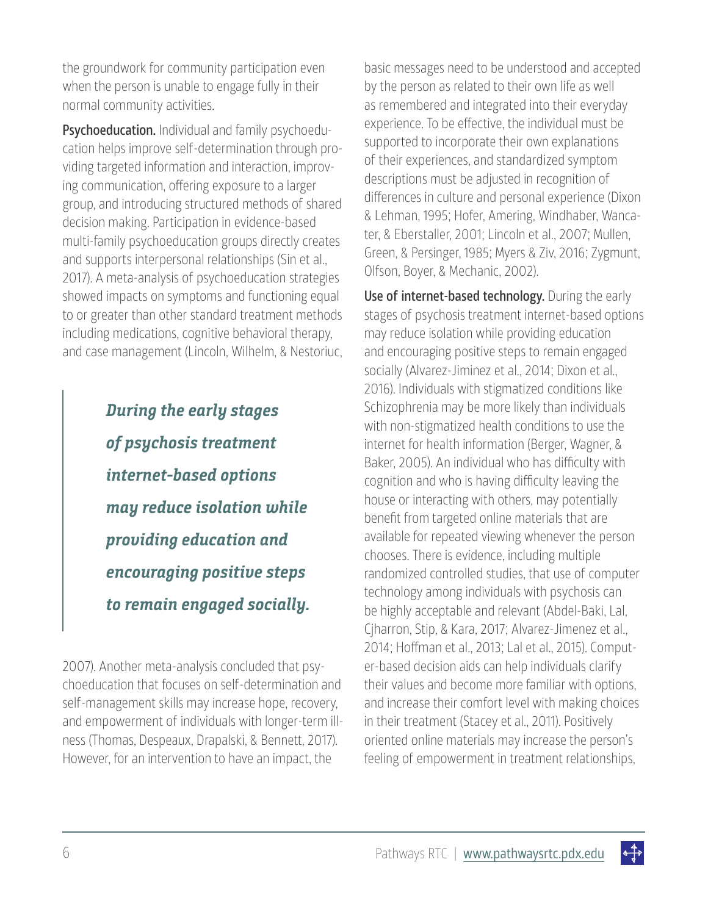the groundwork for community participation even when the person is unable to engage fully in their normal community activities.

Psychoeducation. Individual and family psychoeducation helps improve self-determination through providing targeted information and interaction, improving communication, offering exposure to a larger group, and introducing structured methods of shared decision making. Participation in evidence-based multi-family psychoeducation groups directly creates and supports interpersonal relationships (Sin et al., 2017). A meta-analysis of psychoeducation strategies showed impacts on symptoms and functioning equal to or greater than other standard treatment methods including medications, cognitive behavioral therapy, and case management (Lincoln, Wilhelm, & Nestoriuc,

> **During the early stages of psychosis treatment internet-based options may reduce isolation while providing education and encouraging positive steps to remain engaged socially.**

2007). Another meta-analysis concluded that psychoeducation that focuses on self-determination and self-management skills may increase hope, recovery, and empowerment of individuals with longer-term illness (Thomas, Despeaux, Drapalski, & Bennett, 2017). However, for an intervention to have an impact, the

basic messages need to be understood and accepted by the person as related to their own life as well as remembered and integrated into their everyday experience. To be effective, the individual must be supported to incorporate their own explanations of their experiences, and standardized symptom descriptions must be adjusted in recognition of differences in culture and personal experience (Dixon & Lehman, 1995; Hofer, Amering, Windhaber, Wancater, & Eberstaller, 2001; Lincoln et al., 2007; Mullen, Green, & Persinger, 1985; Myers & Ziv, 2016; Zygmunt, Olfson, Boyer, & Mechanic, 2002).

Use of internet-based technology. During the early stages of psychosis treatment internet-based options may reduce isolation while providing education and encouraging positive steps to remain engaged socially (Alvarez-Jiminez et al., 2014; Dixon et al., 2016). Individuals with stigmatized conditions like Schizophrenia may be more likely than individuals with non-stigmatized health conditions to use the internet for health information (Berger, Wagner, & Baker, 2005). An individual who has difficulty with cognition and who is having difficulty leaving the house or interacting with others, may potentially benefit from targeted online materials that are available for repeated viewing whenever the person chooses. There is evidence, including multiple randomized controlled studies, that use of computer technology among individuals with psychosis can be highly acceptable and relevant (Abdel-Baki, Lal, Cjharron, Stip, & Kara, 2017; Alvarez-Jimenez et al., 2014; Hoffman et al., 2013; Lal et al., 2015). Computer-based decision aids can help individuals clarify their values and become more familiar with options, and increase their comfort level with making choices in their treatment (Stacey et al., 2011). Positively oriented online materials may increase the person's feeling of empowerment in treatment relationships,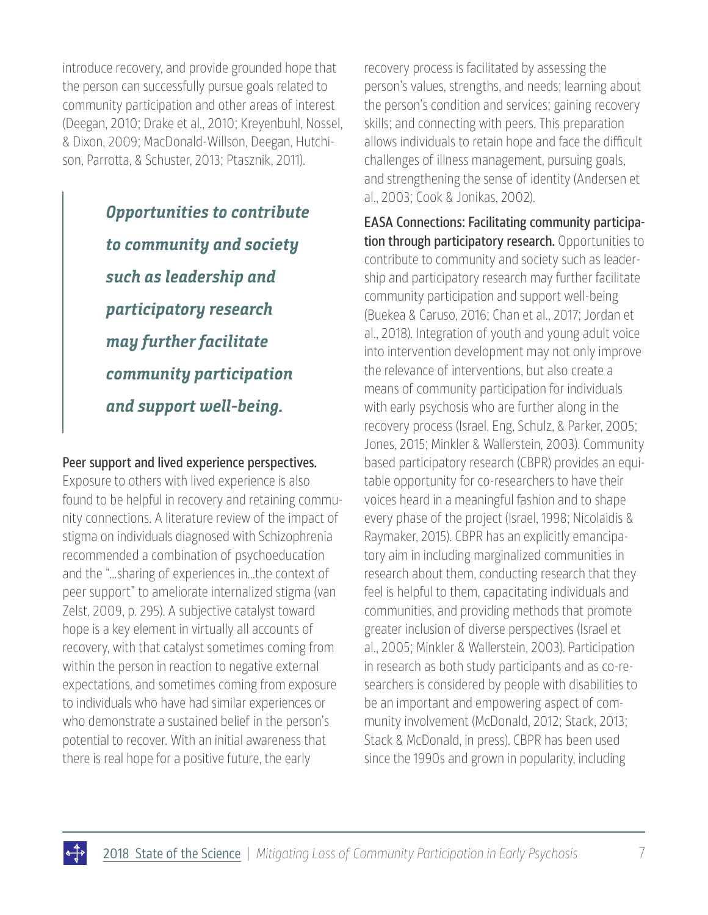introduce recovery, and provide grounded hope that the person can successfully pursue goals related to community participation and other areas of interest (Deegan, 2010; Drake et al., 2010; Kreyenbuhl, Nossel, & Dixon, 2009; MacDonald-Willson, Deegan, Hutchison, Parrotta, & Schuster, 2013; Ptasznik, 2011).

> **Opportunities to contribute to community and society such as leadership and participatory research may further facilitate community participation and support well-being.**

### Peer support and lived experience perspectives.

Exposure to others with lived experience is also found to be helpful in recovery and retaining community connections. A literature review of the impact of stigma on individuals diagnosed with Schizophrenia recommended a combination of psychoeducation and the "…sharing of experiences in…the context of peer support" to ameliorate internalized stigma (van Zelst, 2009, p. 295). A subjective catalyst toward hope is a key element in virtually all accounts of recovery, with that catalyst sometimes coming from within the person in reaction to negative external expectations, and sometimes coming from exposure to individuals who have had similar experiences or who demonstrate a sustained belief in the person's potential to recover. With an initial awareness that there is real hope for a positive future, the early

recovery process is facilitated by assessing the person's values, strengths, and needs; learning about the person's condition and services; gaining recovery skills; and connecting with peers. This preparation allows individuals to retain hope and face the difficult challenges of illness management, pursuing goals, and strengthening the sense of identity (Andersen et al., 2003; Cook & Jonikas, 2002).

EASA Connections: Facilitating community participation through participatory research. Opportunities to contribute to community and society such as leadership and participatory research may further facilitate community participation and support well-being (Buekea & Caruso, 2016; Chan et al., 2017; Jordan et al., 2018). Integration of youth and young adult voice into intervention development may not only improve the relevance of interventions, but also create a means of community participation for individuals with early psychosis who are further along in the recovery process (Israel, Eng, Schulz, & Parker, 2005; Jones, 2015; Minkler & Wallerstein, 2003). Community based participatory research (CBPR) provides an equitable opportunity for co-researchers to have their voices heard in a meaningful fashion and to shape every phase of the project (Israel, 1998; Nicolaidis & Raymaker, 2015). CBPR has an explicitly emancipatory aim in including marginalized communities in research about them, conducting research that they feel is helpful to them, capacitating individuals and communities, and providing methods that promote greater inclusion of diverse perspectives (Israel et al., 2005; Minkler & Wallerstein, 2003). Participation in research as both study participants and as co-researchers is considered by people with disabilities to be an important and empowering aspect of community involvement (McDonald, 2012; Stack, 2013; Stack & McDonald, in press). CBPR has been used since the 1990s and grown in popularity, including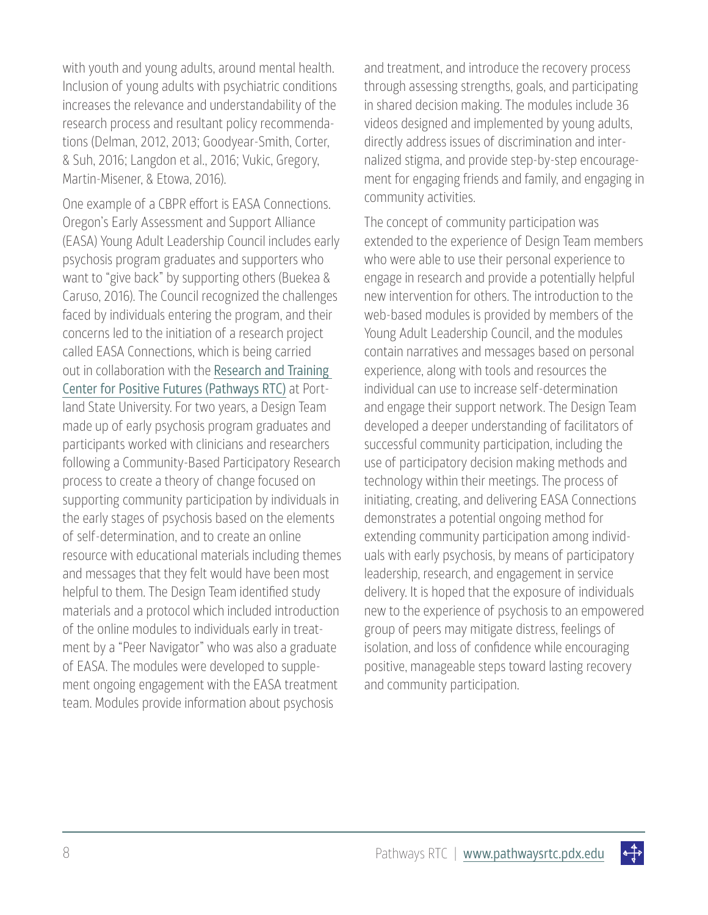with youth and young adults, around mental health. Inclusion of young adults with psychiatric conditions increases the relevance and understandability of the research process and resultant policy recommendations (Delman, 2012, 2013; Goodyear-Smith, Corter, & Suh, 2016; Langdon et al., 2016; Vukic, Gregory, Martin-Misener, & Etowa, 2016).

One example of a CBPR effort is EASA Connections. Oregon's Early Assessment and Support Alliance (EASA) Young Adult Leadership Council includes early psychosis program graduates and supporters who want to "give back" by supporting others (Buekea & Caruso, 2016). The Council recognized the challenges faced by individuals entering the program, and their concerns led to the initiation of a research project called EASA Connections, which is being carried out in collaboration with the [Research and Training](https://www.pathwaysrtc.pdx.edu/about-pathways-rtc)  [Center for Positive Futures \(Pathways RTC\)](https://www.pathwaysrtc.pdx.edu/about-pathways-rtc) at Portland State University. For two years, a Design Team made up of early psychosis program graduates and participants worked with clinicians and researchers following a Community-Based Participatory Research process to create a theory of change focused on supporting community participation by individuals in the early stages of psychosis based on the elements of self-determination, and to create an online resource with educational materials including themes and messages that they felt would have been most helpful to them. The Design Team identified study materials and a protocol which included introduction of the online modules to individuals early in treatment by a "Peer Navigator" who was also a graduate of EASA. The modules were developed to supplement ongoing engagement with the EASA treatment team. Modules provide information about psychosis

and treatment, and introduce the recovery process through assessing strengths, goals, and participating in shared decision making. The modules include 36 videos designed and implemented by young adults, directly address issues of discrimination and internalized stigma, and provide step-by-step encouragement for engaging friends and family, and engaging in community activities.

The concept of community participation was extended to the experience of Design Team members who were able to use their personal experience to engage in research and provide a potentially helpful new intervention for others. The introduction to the web-based modules is provided by members of the Young Adult Leadership Council, and the modules contain narratives and messages based on personal experience, along with tools and resources the individual can use to increase self-determination and engage their support network. The Design Team developed a deeper understanding of facilitators of successful community participation, including the use of participatory decision making methods and technology within their meetings. The process of initiating, creating, and delivering EASA Connections demonstrates a potential ongoing method for extending community participation among individuals with early psychosis, by means of participatory leadership, research, and engagement in service delivery. It is hoped that the exposure of individuals new to the experience of psychosis to an empowered group of peers may mitigate distress, feelings of isolation, and loss of confidence while encouraging positive, manageable steps toward lasting recovery and community participation.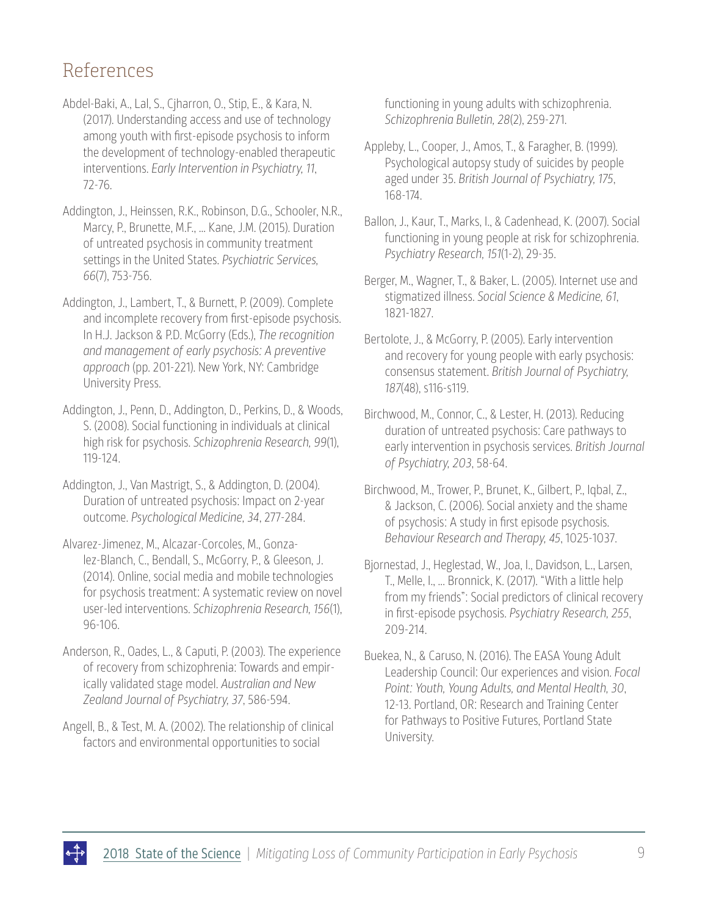## References

- Abdel-Baki, A., Lal, S., Cjharron, O., Stip, E., & Kara, N. (2017). Understanding access and use of technology among youth with first-episode psychosis to inform the development of technology-enabled therapeutic interventions. *Early Intervention in Psychiatry, 11*, 72-76.
- Addington, J., Heinssen, R.K., Robinson, D.G., Schooler, N.R., Marcy, P., Brunette, M.F., ... Kane, J.M. (2015). Duration of untreated psychosis in community treatment settings in the United States. *Psychiatric Services, 66*(7), 753-756.
- Addington, J., Lambert, T., & Burnett, P. (2009). Complete and incomplete recovery from first-episode psychosis. In H.J. Jackson & P.D. McGorry (Eds.), *The recognition and management of early psychosis: A preventive approach* (pp. 201-221). New York, NY: Cambridge University Press.
- Addington, J., Penn, D., Addington, D., Perkins, D., & Woods, S. (2008). Social functioning in individuals at clinical high risk for psychosis. *Schizophrenia Research, 99*(1), 119-124.
- Addington, J., Van Mastrigt, S., & Addington, D. (2004). Duration of untreated psychosis: Impact on 2-year outcome. *Psychological Medicine, 34*, 277-284.
- Alvarez-Jimenez, M., Alcazar-Corcoles, M., Gonzalez-Blanch, C., Bendall, S., McGorry, P., & Gleeson, J. (2014). Online, social media and mobile technologies for psychosis treatment: A systematic review on novel user-led interventions. *Schizophrenia Research, 156*(1), 96-106.
- Anderson, R., Oades, L., & Caputi, P. (2003). The experience of recovery from schizophrenia: Towards and empirically validated stage model. *Australian and New Zealand Journal of Psychiatry, 37*, 586-594.
- Angell, B., & Test, M. A. (2002). The relationship of clinical factors and environmental opportunities to social

functioning in young adults with schizophrenia. *Schizophrenia Bulletin, 28*(2), 259-271.

- Appleby, L., Cooper, J., Amos, T., & Faragher, B. (1999). Psychological autopsy study of suicides by people aged under 35. *British Journal of Psychiatry, 175*, 168-174.
- Ballon, J., Kaur, T., Marks, I., & Cadenhead, K. (2007). Social functioning in young people at risk for schizophrenia. *Psychiatry Research, 151*(1-2), 29-35.
- Berger, M., Wagner, T., & Baker, L. (2005). Internet use and stigmatized illness. *Social Science & Medicine, 61*, 1821-1827.
- Bertolote, J., & McGorry, P. (2005). Early intervention and recovery for young people with early psychosis: consensus statement. *British Journal of Psychiatry, 187*(48), s116-s119.
- Birchwood, M., Connor, C., & Lester, H. (2013). Reducing duration of untreated psychosis: Care pathways to early intervention in psychosis services. *British Journal of Psychiatry, 203*, 58-64.
- Birchwood, M., Trower, P., Brunet, K., Gilbert, P., Iqbal, Z., & Jackson, C. (2006). Social anxiety and the shame of psychosis: A study in first episode psychosis. *Behaviour Research and Therapy, 45*, 1025-1037.
- Bjornestad, J., Heglestad, W., Joa, I., Davidson, L., Larsen, T., Melle, I., ... Bronnick, K. (2017). "With a little help from my friends": Social predictors of clinical recovery in first-episode psychosis. *Psychiatry Research, 255*, 209-214.
- Buekea, N., & Caruso, N. (2016). The EASA Young Adult Leadership Council: Our experiences and vision. *Focal Point: Youth, Young Adults, and Mental Health, 30*, 12-13. Portland, OR: Research and Training Center for Pathways to Positive Futures, Portland State University.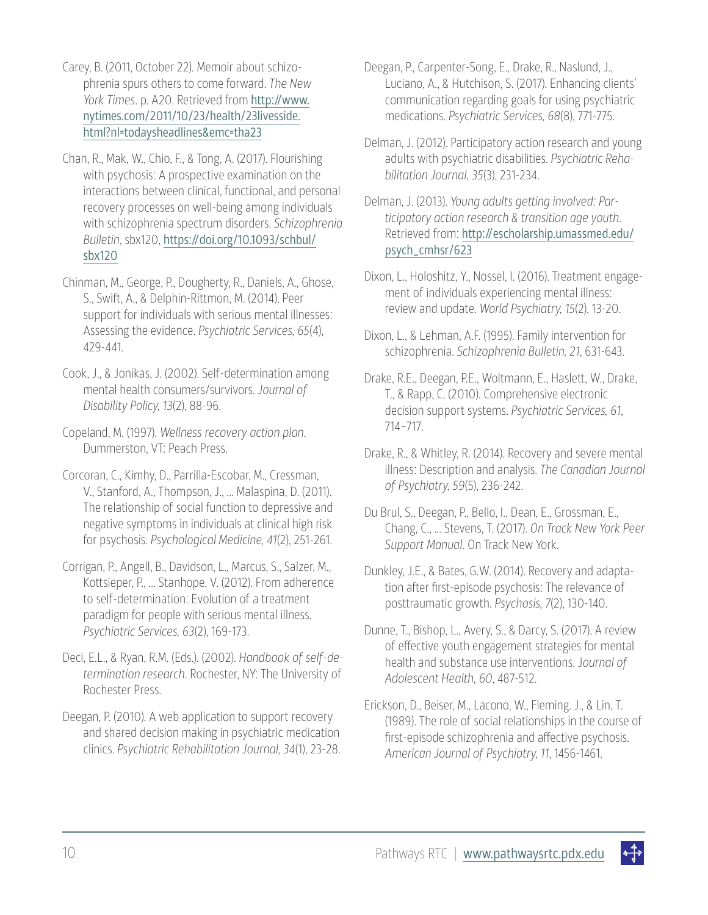- Carey, B. (2011, October 22). Memoir about schizophrenia spurs others to come forward. *The New York Times*. p. A20. Retrieved from [http://www.](http://www.nytimes.com/2011/10/23/health/23livesside.html?nl=todaysheadlines&emc=tha23) [nytimes.com/2011/10/23/health/23livesside.](http://www.nytimes.com/2011/10/23/health/23livesside.html?nl=todaysheadlines&emc=tha23) [html?nl=todaysheadlines&emc=tha23](http://www.nytimes.com/2011/10/23/health/23livesside.html?nl=todaysheadlines&emc=tha23)
- Chan, R., Mak, W., Chio, F., & Tong, A. (2017). Flourishing with psychosis: A prospective examination on the interactions between clinical, functional, and personal recovery processes on well-being among individuals with schizophrenia spectrum disorders. *Schizophrenia Bulletin*, sbx120, [https://doi.org/10.1093/schbul/](https://doi.org/10.1093/schbul/sbx120) [sbx120](https://doi.org/10.1093/schbul/sbx120)
- Chinman, M., George, P., Dougherty, R., Daniels, A., Ghose, S., Swift, A., & Delphin-Rittmon, M. (2014). Peer support for individuals with serious mental illnesses: Assessing the evidence. *Psychiatric Services, 65*(4), 429-441.
- Cook, J., & Jonikas, J. (2002). Self-determination among mental health consumers/survivors. *Journal of Disability Policy, 13*(2), 88-96.
- Copeland, M. (1997). *Wellness recovery action plan*. Dummerston, VT: Peach Press.
- Corcoran, C., Kimhy, D., Parrilla-Escobar, M., Cressman, V., Stanford, A., Thompson, J., ... Malaspina, D. (2011). The relationship of social function to depressive and negative symptoms in individuals at clinical high risk for psychosis. *Psychological Medicine, 41*(2), 251-261.
- Corrigan, P., Angell, B., Davidson, L., Marcus, S., Salzer, M., Kottsieper, P., ... Stanhope, V. (2012). From adherence to self-determination: Evolution of a treatment paradigm for people with serious mental illness. *Psychiatric Services, 63*(2), 169-173.
- Deci, E.L., & Ryan, R.M. (Eds.). (2002). *Handbook of self-determination research*. Rochester, NY: The University of Rochester Press.
- Deegan, P. (2010). A web application to support recovery and shared decision making in psychiatric medication clinics. *Psychiatric Rehabilitation Journal, 34*(1), 23-28.
- Deegan, P., Carpenter-Song, E., Drake, R., Naslund, J., Luciano, A., & Hutchison, S. (2017). Enhancing clients' communication regarding goals for using psychiatric medications. *Psychiatric Services, 68*(8), 771-775.
- Delman, J. (2012). Participatory action research and young adults with psychiatric disabilities. *Psychiatric Rehabilitation Journal, 35*(3), 231-234.
- Delman, J. (2013). *Young adults getting involved: Participatory action research & transition age youth*. Retrieved from: [http://escholarship.umassmed.edu/](http://escholarship.umassmed.edu/psych_cmhsr/623) [psych\\_cmhsr/623](http://escholarship.umassmed.edu/psych_cmhsr/623)
- Dixon, L., Holoshitz, Y., Nossel, I. (2016). Treatment engagement of individuals experiencing mental illness: review and update. *World Psychiatry, 15*(2), 13-20.
- Dixon, L., & Lehman, A.F. (1995). Family intervention for schizophrenia. *Schizophrenia Bulletin, 21*, 631-643.
- Drake, R.E., Deegan, P.E., Woltmann, E., Haslett, W., Drake, T., & Rapp, C. (2010). Comprehensive electronic decision support systems. *Psychiatric Services, 61*, 714–717.
- Drake, R., & Whitley, R. (2014). Recovery and severe mental illness: Description and analysis. *The Canadian Journal of Psychiatry, 59*(5), 236-242.
- Du Brul, S., Deegan, P., Bello, I., Dean, E., Grossman, E., Chang, C., ... Stevens, T. (2017). *On Track New York Peer Support Manual*. On Track New York.
- Dunkley, J.E., & Bates, G.W. (2014). Recovery and adaptation after first-episode psychosis: The relevance of posttraumatic growth. *Psychosis, 7*(2), 130-140.
- Dunne, T., Bishop, L., Avery, S., & Darcy, S. (2017). A review of effective youth engagement strategies for mental health and substance use interventions. J*ournal of Adolescent Health, 60*, 487-512.
- Erickson, D., Beiser, M., Lacono, W., Fleming. J., & Lin, T. (1989). The role of social relationships in the course of first-episode schizophrenia and affective psychosis. *American Journal of Psychiatry, 11*, 1456-1461.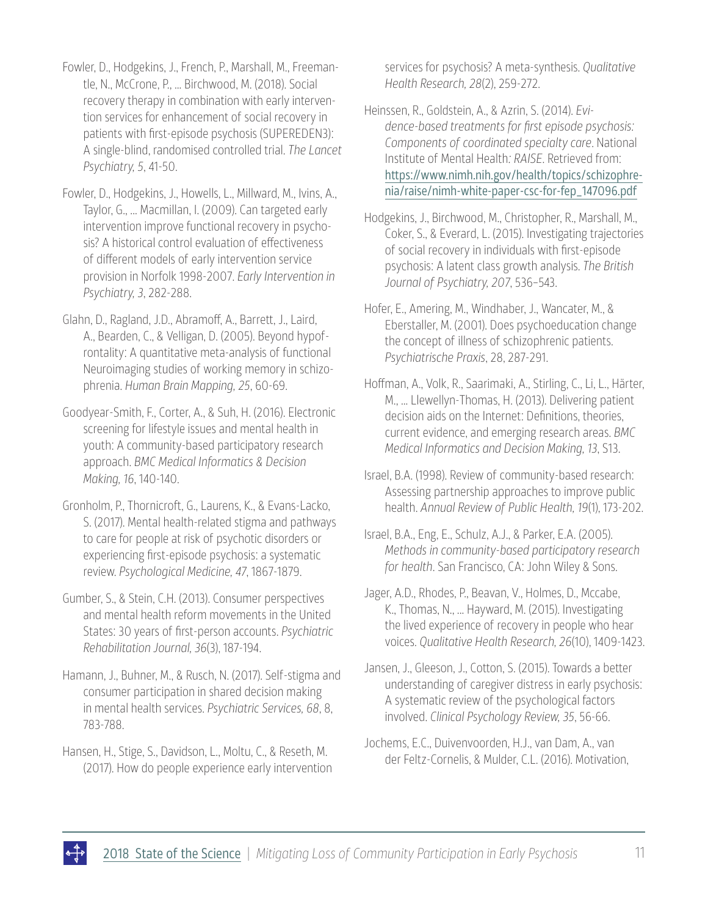Fowler, D., Hodgekins, J., French, P., Marshall, M., Freemantle, N., McCrone, P., ... Birchwood, M. (2018). Social recovery therapy in combination with early intervention services for enhancement of social recovery in patients with first-episode psychosis (SUPEREDEN3): A single-blind, randomised controlled trial. *The Lancet Psychiatry, 5*, 41-50.

Fowler, D., Hodgekins, J., Howells, L., Millward, M., Ivins, A., Taylor, G., ... Macmillan, I. (2009). Can targeted early intervention improve functional recovery in psychosis? A historical control evaluation of effectiveness of different models of early intervention service provision in Norfolk 1998-2007. *Early Intervention in Psychiatry, 3*, 282-288.

Glahn, D., Ragland, J.D., Abramoff, A., Barrett, J., Laird, A., Bearden, C., & Velligan, D. (2005). Beyond hypofrontality: A quantitative meta-analysis of functional Neuroimaging studies of working memory in schizophrenia. *Human Brain Mapping, 25*, 60-69.

Goodyear-Smith, F., Corter, A., & Suh, H. (2016). Electronic screening for lifestyle issues and mental health in youth: A community-based participatory research approach. *BMC Medical Informatics & Decision Making, 16*, 140-140.

Gronholm, P., Thornicroft, G., Laurens, K., & Evans-Lacko, S. (2017). Mental health-related stigma and pathways to care for people at risk of psychotic disorders or experiencing first-episode psychosis: a systematic review. *Psychological Medicine, 47*, 1867-1879.

Gumber, S., & Stein, C.H. (2013). Consumer perspectives and mental health reform movements in the United States: 30 years of first-person accounts. *Psychiatric Rehabilitation Journal, 36*(3), 187-194.

Hamann, J., Buhner, M., & Rusch, N. (2017). Self-stigma and consumer participation in shared decision making in mental health services. *Psychiatric Services, 68*, 8, 783-788.

Hansen, H., Stige, S., Davidson, L., Moltu, C., & Reseth, M. (2017). How do people experience early intervention services for psychosis? A meta-synthesis. *Qualitative Health Research, 28*(2), 259-272.

Heinssen, R., Goldstein, A., & Azrin, S. (2014). *Evidence-based treatments for first episode psychosis: Components of coordinated specialty care*. National Institute of Mental Health*: RAISE*. Retrieved from: [https://www.nimh.nih.gov/health/topics/schizophre](https://www.nimh.nih.gov/health/topics/schizophrenia/raise/nimh-white-paper-csc-for-fep_147096.pdf)[nia/raise/nimh-white-paper-csc-for-fep\\_147096.pdf](https://www.nimh.nih.gov/health/topics/schizophrenia/raise/nimh-white-paper-csc-for-fep_147096.pdf)

Hodgekins, J., Birchwood, M., Christopher, R., Marshall, M., Coker, S., & Everard, L. (2015). Investigating trajectories of social recovery in individuals with first-episode psychosis: A latent class growth analysis. *The British Journal of Psychiatry, 207*, 536–543.

Hofer, E., Amering, M., Windhaber, J., Wancater, M., & Eberstaller, M. (2001). Does psychoeducation change the concept of illness of schizophrenic patients. *Psychiatrische Praxis*, 28, 287-291.

Hoffman, A., Volk, R., Saarimaki, A., Stirling, C., Li, L., Härter, M., ... Llewellyn-Thomas, H. (2013). Delivering patient decision aids on the Internet: Definitions, theories, current evidence, and emerging research areas. *BMC Medical Informatics and Decision Making, 13*, S13.

Israel, B.A. (1998). Review of community-based research: Assessing partnership approaches to improve public health. *Annual Review of Public Health, 19*(1), 173-202.

Israel, B.A., Eng, E., Schulz, A.J., & Parker, E.A. (2005). *Methods in community-based participatory research for health*. San Francisco, CA: John Wiley & Sons.

Jager, A.D., Rhodes, P., Beavan, V., Holmes, D., Mccabe, K., Thomas, N., ... Hayward, M. (2015). Investigating the lived experience of recovery in people who hear voices. *Qualitative Health Research, 26*(10), 1409-1423.

Jansen, J., Gleeson, J., Cotton, S. (2015). Towards a better understanding of caregiver distress in early psychosis: A systematic review of the psychological factors involved. *Clinical Psychology Review, 35*, 56-66.

Jochems, E.C., Duivenvoorden, H.J., van Dam, A., van der Feltz-Cornelis, & Mulder, C.L. (2016). Motivation,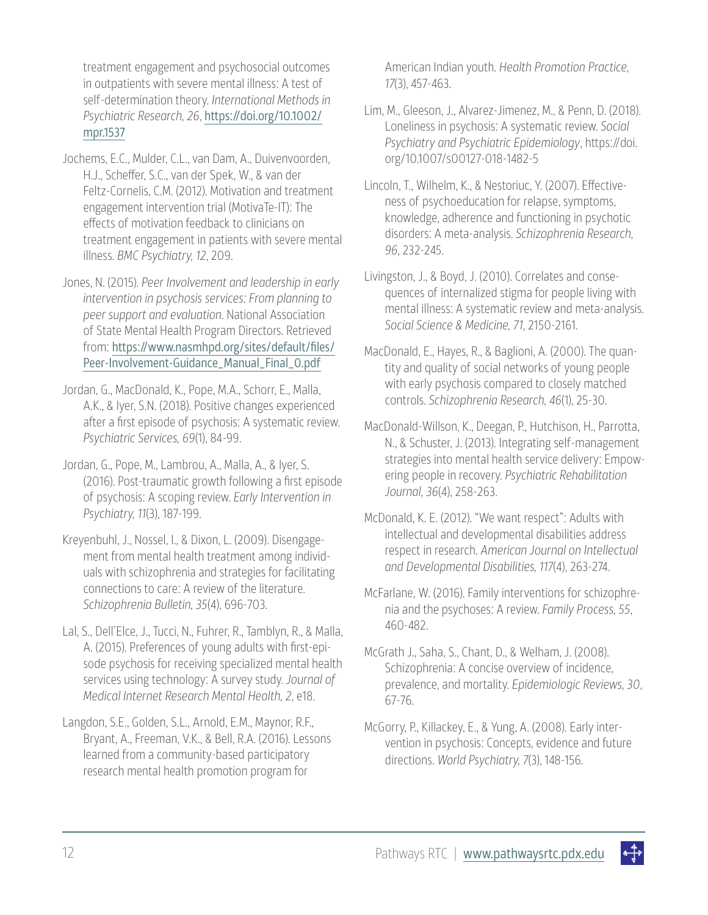treatment engagement and psychosocial outcomes in outpatients with severe mental illness: A test of self-determination theory. *International Methods in Psychiatric Research, 26*, [https://doi.org/10.1002/](https://doi.org/10.1002/mpr.1537) [mpr.1537](https://doi.org/10.1002/mpr.1537)

Jochems, E.C., Mulder, C.L., van Dam, A., Duivenvoorden, H.J., Scheffer, S.C., van der Spek, W., & van der Feltz-Cornelis, C.M. (2012). Motivation and treatment engagement intervention trial (MotivaTe-IT): The effects of motivation feedback to clinicians on treatment engagement in patients with severe mental illness. *BMC Psychiatry, 12*, 209.

Jones, N. (2015). *Peer Involvement and leadership in early intervention in psychosis services: From planning to peer support and evaluation*. National Association of State Mental Health Program Directors. Retrieved from: [https://www.nasmhpd.org/sites/default/files/](https://www.nasmhpd.org/sites/default/files/Peer-Involvement-Guidance_Manual_Final_0.pdf) [Peer-Involvement-Guidance\\_Manual\\_Final\\_0.pdf](https://www.nasmhpd.org/sites/default/files/Peer-Involvement-Guidance_Manual_Final_0.pdf)

- Jordan, G., MacDonald, K., Pope, M.A., Schorr, E., Malla, A.K., & Iyer, S.N. (2018). Positive changes experienced after a first episode of psychosis: A systematic review. *Psychiatric Services, 69*(1), 84-99.
- Jordan, G., Pope, M., Lambrou, A., Malla, A., & Iyer, S. (2016). Post-traumatic growth following a first episode of psychosis: A scoping review. *Early Intervention in Psychiatry, 11*(3), 187-199.
- Kreyenbuhl, J., Nossel, I., & Dixon, L. (2009). Disengagement from mental health treatment among individuals with schizophrenia and strategies for facilitating connections to care: A review of the literature. *Schizophrenia Bulletin, 35*(4), 696-703.
- Lal, S., Dell'Elce, J., Tucci, N., Fuhrer, R., Tamblyn, R., & Malla, A. (2015). Preferences of young adults with first-episode psychosis for receiving specialized mental health services using technology: A survey study. *Journal of Medical Internet Research Mental Health, 2*, e18.

Langdon, S.E., Golden, S.L., Arnold, E.M., Maynor, R.F., Bryant, A., Freeman, V.K., & Bell, R.A. (2016). Lessons learned from a community-based participatory research mental health promotion program for

American Indian youth. *Health Promotion Practice, 17*(3), 457-463.

- Lim, M., Gleeson, J., Alvarez-Jimenez, M., & Penn, D. (2018). Loneliness in psychosis: A systematic review. *Social Psychiatry and Psychiatric Epidemiology*, https://doi. org/10.1007/s00127-018-1482-5
- Lincoln, T., Wilhelm, K., & Nestoriuc, Y. (2007). Effectiveness of psychoeducation for relapse, symptoms, knowledge, adherence and functioning in psychotic disorders: A meta-analysis. *Schizophrenia Research, 96*, 232-245.
- Livingston, J., & Boyd, J. (2010). Correlates and consequences of internalized stigma for people living with mental illness: A systematic review and meta-analysis. *Social Science & Medicine, 71*, 2150-2161.
- MacDonald, E., Hayes, R., & Baglioni, A. (2000). The quantity and quality of social networks of young people with early psychosis compared to closely matched controls. *Schizophrenia Research, 46*(1), 25-30.
- MacDonald-Willson, K., Deegan, P., Hutchison, H., Parrotta, N., & Schuster, J. (2013). Integrating self-management strategies into mental health service delivery: Empowering people in recovery. *Psychiatric Rehabilitation Journal, 36*(4), 258-263.
- McDonald, K. E. (2012). "We want respect": Adults with intellectual and developmental disabilities address respect in research. *American Journal on Intellectual and Developmental Disabilities, 117*(4), 263-274.
- McFarlane, W. (2016). Family interventions for schizophrenia and the psychoses: A review. *Family Process, 55*, 460-482.
- McGrath J., Saha, S., Chant, D., & Welham, J. (2008). Schizophrenia: A concise overview of incidence, prevalence, and mortality. *Epidemiologic Reviews, 30*, 67-76.
- McGorry, P., Killackey, E., & Yung, A. (2008). Early intervention in psychosis: Concepts, evidence and future directions. *World Psychiatry, 7*(3), 148-156.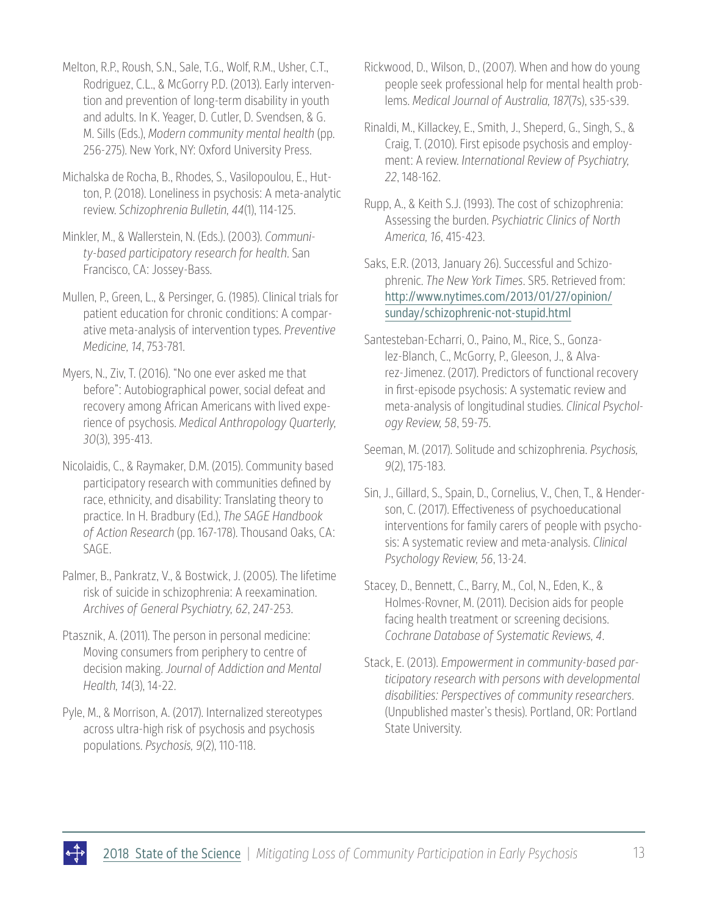Melton, R.P., Roush, S.N., Sale, T.G., Wolf, R.M., Usher, C.T., Rodriguez, C.L., & McGorry P.D. (2013). Early intervention and prevention of long-term disability in youth and adults. In K. Yeager, D. Cutler, D. Svendsen, & G. M. Sills (Eds.), *Modern community mental health* (pp. 256-275). New York, NY: Oxford University Press.

Michalska de Rocha, B., Rhodes, S., Vasilopoulou, E., Hutton, P. (2018). Loneliness in psychosis: A meta-analytic review. *Schizophrenia Bulletin, 44*(1), 114-125.

- Minkler, M., & Wallerstein, N. (Eds.). (2003). *Community-based participatory research for health*. San Francisco, CA: Jossey-Bass.
- Mullen, P., Green, L., & Persinger, G. (1985). Clinical trials for patient education for chronic conditions: A comparative meta-analysis of intervention types. *Preventive Medicine, 14*, 753-781.

Myers, N., Ziv, T. (2016). "No one ever asked me that before": Autobiographical power, social defeat and recovery among African Americans with lived experience of psychosis. *Medical Anthropology Quarterly, 30*(3), 395-413.

Nicolaidis, C., & Raymaker, D.M. (2015). Community based participatory research with communities defined by race, ethnicity, and disability: Translating theory to practice. In H. Bradbury (Ed.), *The SAGE Handbook of Action Research* (pp. 167-178). Thousand Oaks, CA: SAGE.

Palmer, B., Pankratz, V., & Bostwick, J. (2005). The lifetime risk of suicide in schizophrenia: A reexamination. *Archives of General Psychiatry, 62*, 247-253.

Ptasznik, A. (2011). The person in personal medicine: Moving consumers from periphery to centre of decision making. *Journal of Addiction and Mental Health, 14*(3), 14-22.

Pyle, M., & Morrison, A. (2017). Internalized stereotypes across ultra-high risk of psychosis and psychosis populations. *Psychosis, 9*(2), 110-118.

- Rickwood, D., Wilson, D., (2007). When and how do young people seek professional help for mental health problems. *Medical Journal of Australia, 187*(7s), s35-s39.
- Rinaldi, M., Killackey, E., Smith, J., Sheperd, G., Singh, S., & Craig, T. (2010). First episode psychosis and employment: A review. *International Review of Psychiatry, 22*, 148-162.
- Rupp, A., & Keith S.J. (1993). The cost of schizophrenia: Assessing the burden. *Psychiatric Clinics of North America, 16*, 415-423.

Saks, E.R. (2013, January 26). Successful and Schizophrenic. *The New York Times*. SR5. Retrieved from: [http://www.nytimes.com/2013/01/27/opinion/](http://www.nytimes.com/2013/01/27/opinion/sunday/schizophrenic-not-stupid.html) [sunday/schizophrenic-not-stupid.html](http://www.nytimes.com/2013/01/27/opinion/sunday/schizophrenic-not-stupid.html)

- Santesteban-Echarri, O., Paino, M., Rice, S., Gonzalez-Blanch, C., McGorry, P., Gleeson, J., & Alvarez-Jimenez. (2017). Predictors of functional recovery in first-episode psychosis: A systematic review and meta-analysis of longitudinal studies. *Clinical Psychology Review, 58*, 59-75.
- Seeman, M. (2017). Solitude and schizophrenia. *Psychosis, 9*(2), 175-183.

Sin, J., Gillard, S., Spain, D., Cornelius, V., Chen, T., & Henderson, C. (2017). Effectiveness of psychoeducational interventions for family carers of people with psychosis: A systematic review and meta-analysis. *Clinical Psychology Review, 56*, 13-24.

- Stacey, D., Bennett, C., Barry, M., Col, N., Eden, K., & Holmes-Rovner, M. (2011). Decision aids for people facing health treatment or screening decisions. *Cochrane Database of Systematic Reviews, 4*.
- Stack, E. (2013). *Empowerment in community-based participatory research with persons with developmental disabilities: Perspectives of community researchers*. (Unpublished master's thesis). Portland, OR: Portland State University.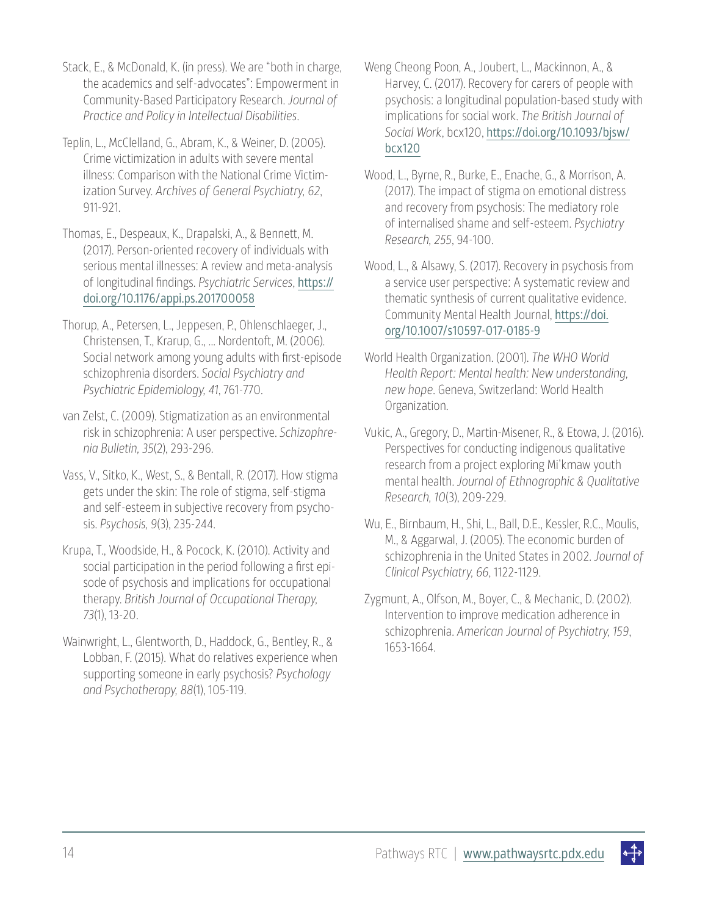- Stack, E., & McDonald, K. (in press). We are "both in charge, the academics and self-advocates": Empowerment in Community-Based Participatory Research. *Journal of Practice and Policy in Intellectual Disabilities*.
- Teplin, L., McClelland, G., Abram, K., & Weiner, D. (2005). Crime victimization in adults with severe mental illness: Comparison with the National Crime Victimization Survey. *Archives of General Psychiatry, 62*, 911-921.
- Thomas, E., Despeaux, K., Drapalski, A., & Bennett, M. (2017). Person-oriented recovery of individuals with serious mental illnesses: A review and meta-analysis of longitudinal findings. *Psychiatric Services*, [https://](https://doi.org/10.1176/appi.ps.201700058) [doi.org/10.1176/appi.ps.201700058](https://doi.org/10.1176/appi.ps.201700058)
- Thorup, A., Petersen, L., Jeppesen, P., Ohlenschlaeger, J., Christensen, T., Krarup, G., ... Nordentoft, M. (2006). Social network among young adults with first-episode schizophrenia disorders. *Social Psychiatry and Psychiatric Epidemiology, 41*, 761-770.
- van Zelst, C. (2009). Stigmatization as an environmental risk in schizophrenia: A user perspective. *Schizophrenia Bulletin, 35*(2), 293-296.
- Vass, V., Sitko, K., West, S., & Bentall, R. (2017). How stigma gets under the skin: The role of stigma, self-stigma and self-esteem in subjective recovery from psychosis. *Psychosis, 9*(3), 235-244.
- Krupa, T., Woodside, H., & Pocock, K. (2010). Activity and social participation in the period following a first episode of psychosis and implications for occupational therapy. *British Journal of Occupational Therapy, 73*(1), 13-20.
- Wainwright, L., Glentworth, D., Haddock, G., Bentley, R., & Lobban, F. (2015). What do relatives experience when supporting someone in early psychosis? *Psychology and Psychotherapy, 88*(1), 105-119.
- Weng Cheong Poon, A., Joubert, L., Mackinnon, A., & Harvey, C. (2017). Recovery for carers of people with psychosis: a longitudinal population-based study with implications for social work. *The British Journal of Social Work*, bcx120, [https://doi.org/10.1093/bjsw/](https://doi.org/10.1093/bjsw/bcx120) [bcx120](https://doi.org/10.1093/bjsw/bcx120)
- Wood, L., Byrne, R., Burke, E., Enache, G., & Morrison, A. (2017). The impact of stigma on emotional distress and recovery from psychosis: The mediatory role of internalised shame and self-esteem. *Psychiatry Research, 255*, 94-100.
- Wood, L., & Alsawy, S. (2017). Recovery in psychosis from a service user perspective: A systematic review and thematic synthesis of current qualitative evidence. Community Mental Health Journal, [https://doi.](https://doi.org/10.1007/s10597-017-0185-9) [org/10.1007/s10597-017-0185-9](https://doi.org/10.1007/s10597-017-0185-9)
- World Health Organization. (2001). *The WHO World Health Report: Mental health: New understanding, new hope*. Geneva, Switzerland: World Health Organization.
- Vukic, A., Gregory, D., Martin-Misener, R., & Etowa, J. (2016). Perspectives for conducting indigenous qualitative research from a project exploring Mi'kmaw youth mental health. *Journal of Ethnographic & Qualitative Research, 10*(3), 209-229.
- Wu, E., Birnbaum, H., Shi, L., Ball, D.E., Kessler, R.C., Moulis, M., & Aggarwal, J. (2005). The economic burden of schizophrenia in the United States in 2002. *Journal of Clinical Psychiatry, 66*, 1122-1129.
- Zygmunt, A., Olfson, M., Boyer, C., & Mechanic, D. (2002). Intervention to improve medication adherence in schizophrenia. *American Journal of Psychiatry, 159*, 1653-1664.